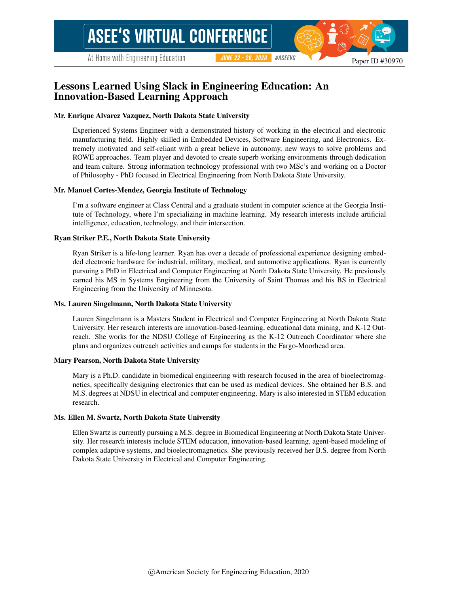At Home with Engineering Education

#ASEEVC **JUNE 22 - 26, 2020** 

# Lessons Learned Using Slack in Engineering Education: An Innovation-Based Learning Approach

#### Mr. Enrique Alvarez Vazquez, North Dakota State University

Experienced Systems Engineer with a demonstrated history of working in the electrical and electronic manufacturing field. Highly skilled in Embedded Devices, Software Engineering, and Electronics. Extremely motivated and self-reliant with a great believe in autonomy, new ways to solve problems and ROWE approaches. Team player and devoted to create superb working environments through dedication and team culture. Strong information technology professional with two MSc's and working on a Doctor of Philosophy - PhD focused in Electrical Engineering from North Dakota State University.

#### Mr. Manoel Cortes-Mendez, Georgia Institute of Technology

I'm a software engineer at Class Central and a graduate student in computer science at the Georgia Institute of Technology, where I'm specializing in machine learning. My research interests include artificial intelligence, education, technology, and their intersection.

#### Ryan Striker P.E., North Dakota State University

Ryan Striker is a life-long learner. Ryan has over a decade of professional experience designing embedded electronic hardware for industrial, military, medical, and automotive applications. Ryan is currently pursuing a PhD in Electrical and Computer Engineering at North Dakota State University. He previously earned his MS in Systems Engineering from the University of Saint Thomas and his BS in Electrical Engineering from the University of Minnesota.

#### Ms. Lauren Singelmann, North Dakota State University

Lauren Singelmann is a Masters Student in Electrical and Computer Engineering at North Dakota State University. Her research interests are innovation-based-learning, educational data mining, and K-12 Outreach. She works for the NDSU College of Engineering as the K-12 Outreach Coordinator where she plans and organizes outreach activities and camps for students in the Fargo-Moorhead area.

#### Mary Pearson, North Dakota State University

Mary is a Ph.D. candidate in biomedical engineering with research focused in the area of bioelectromagnetics, specifically designing electronics that can be used as medical devices. She obtained her B.S. and M.S. degrees at NDSU in electrical and computer engineering. Mary is also interested in STEM education research.

#### Ms. Ellen M. Swartz, North Dakota State University

Ellen Swartz is currently pursuing a M.S. degree in Biomedical Engineering at North Dakota State University. Her research interests include STEM education, innovation-based learning, agent-based modeling of complex adaptive systems, and bioelectromagnetics. She previously received her B.S. degree from North Dakota State University in Electrical and Computer Engineering.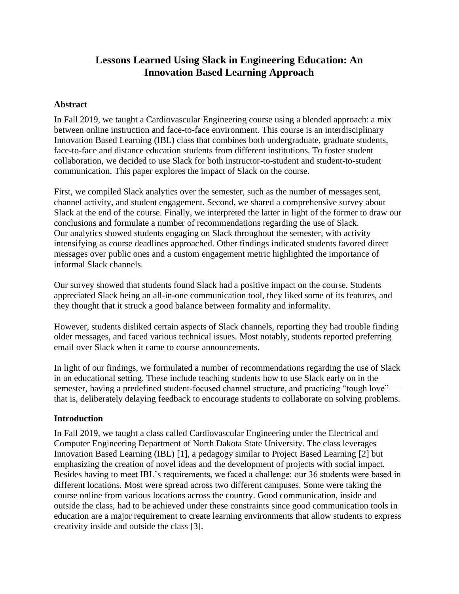# **Lessons Learned Using Slack in Engineering Education: An Innovation Based Learning Approach**

## **Abstract**

In Fall 2019, we taught a Cardiovascular Engineering course using a blended approach: a mix between online instruction and face-to-face environment. This course is an interdisciplinary Innovation Based Learning (IBL) class that combines both undergraduate, graduate students, face-to-face and distance education students from different institutions. To foster student collaboration, we decided to use Slack for both instructor-to-student and student-to-student communication. This paper explores the impact of Slack on the course.

First, we compiled Slack analytics over the semester, such as the number of messages sent, channel activity, and student engagement. Second, we shared a comprehensive survey about Slack at the end of the course. Finally, we interpreted the latter in light of the former to draw our conclusions and formulate a number of recommendations regarding the use of Slack. Our analytics showed students engaging on Slack throughout the semester, with activity intensifying as course deadlines approached. Other findings indicated students favored direct messages over public ones and a custom engagement metric highlighted the importance of informal Slack channels.

Our survey showed that students found Slack had a positive impact on the course. Students appreciated Slack being an all-in-one communication tool, they liked some of its features, and they thought that it struck a good balance between formality and informality.

However, students disliked certain aspects of Slack channels, reporting they had trouble finding older messages, and faced various technical issues. Most notably, students reported preferring email over Slack when it came to course announcements.

In light of our findings, we formulated a number of recommendations regarding the use of Slack in an educational setting. These include teaching students how to use Slack early on in the semester, having a predefined student-focused channel structure, and practicing "tough love" that is, deliberately delaying feedback to encourage students to collaborate on solving problems.

## **Introduction**

In Fall 2019, we taught a class called Cardiovascular Engineering under the Electrical and Computer Engineering Department of North Dakota State University. The class leverages Innovation Based Learning (IBL) [1], a pedagogy similar to Project Based Learning [2] but emphasizing the creation of novel ideas and the development of projects with social impact. Besides having to meet IBL's requirements, we faced a challenge: our 36 students were based in different locations. Most were spread across two different campuses. Some were taking the course online from various locations across the country. Good communication, inside and outside the class, had to be achieved under these constraints since good communication tools in education are a major requirement to create learning environments that allow students to express creativity inside and outside the class [3].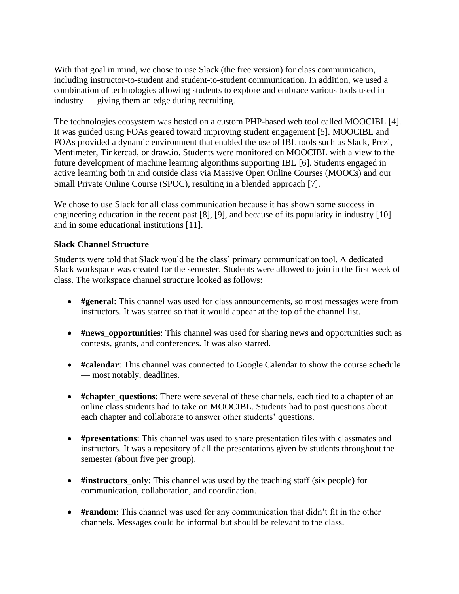With that goal in mind, we chose to use Slack (the free version) for class communication, including instructor-to-student and student-to-student communication. In addition, we used a combination of technologies allowing students to explore and embrace various tools used in industry — giving them an edge during recruiting.

The technologies ecosystem was hosted on a custom PHP-based web tool called MOOCIBL [4]. It was guided using FOAs geared toward improving student engagement [5]. MOOCIBL and FOAs provided a dynamic environment that enabled the use of IBL tools such as Slack, Prezi, Mentimeter, Tinkercad, or draw.io. Students were monitored on MOOCIBL with a view to the future development of machine learning algorithms supporting IBL [6]. Students engaged in active learning both in and outside class via Massive Open Online Courses (MOOCs) and our Small Private Online Course (SPOC), resulting in a blended approach [7].

We chose to use Slack for all class communication because it has shown some success in engineering education in the recent past [8], [9], and because of its popularity in industry [10] and in some educational institutions [11].

## **Slack Channel Structure**

Students were told that Slack would be the class' primary communication tool. A dedicated Slack workspace was created for the semester. Students were allowed to join in the first week of class. The workspace channel structure looked as follows:

- **#general**: This channel was used for class announcements, so most messages were from instructors. It was starred so that it would appear at the top of the channel list.
- **#news\_opportunities**: This channel was used for sharing news and opportunities such as contests, grants, and conferences. It was also starred.
- **#calendar**: This channel was connected to Google Calendar to show the course schedule — most notably, deadlines.
- **#chapter** questions: There were several of these channels, each tied to a chapter of an online class students had to take on MOOCIBL. Students had to post questions about each chapter and collaborate to answer other students' questions.
- **#presentations**: This channel was used to share presentation files with classmates and instructors. It was a repository of all the presentations given by students throughout the semester (about five per group).
- **#instructors\_only**: This channel was used by the teaching staff (six people) for communication, collaboration, and coordination.
- **#random**: This channel was used for any communication that didn't fit in the other channels. Messages could be informal but should be relevant to the class.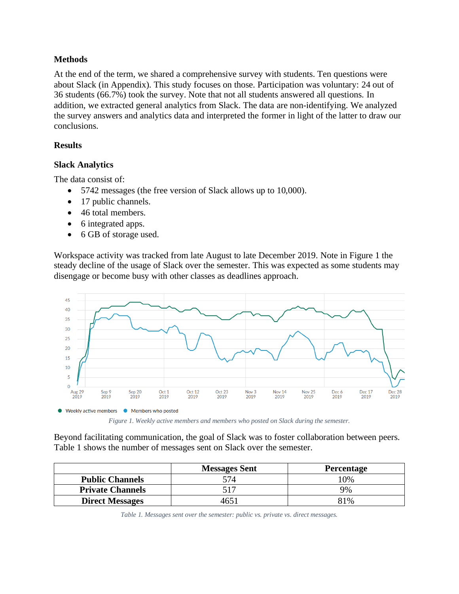## **Methods**

At the end of the term, we shared a comprehensive survey with students. Ten questions were about Slack (in Appendix). This study focuses on those. Participation was voluntary: 24 out of 36 students (66.7%) took the survey. Note that not all students answered all questions. In addition, we extracted general analytics from Slack. The data are non-identifying. We analyzed the survey answers and analytics data and interpreted the former in light of the latter to draw our conclusions.

## **Results**

## **Slack Analytics**

The data consist of:

- 5742 messages (the free version of Slack allows up to 10,000).
- 17 public channels.
- 46 total members.
- 6 integrated apps.
- 6 GB of storage used.

Workspace activity was tracked from late August to late December 2019. Note in [Figure 1](#page-3-0) the steady decline of the usage of Slack over the semester. This was expected as some students may disengage or become busy with other classes as deadlines approach.



*Figure 1. Weekly active members and members who posted on Slack during the semester.*

<span id="page-3-0"></span>Beyond facilitating communication, the goal of Slack was to foster collaboration between peers. [Table 1](#page-3-1) shows the number of messages sent on Slack over the semester.

<span id="page-3-1"></span>

|                         | <b>Messages Sent</b> | <b>Percentage</b> |
|-------------------------|----------------------|-------------------|
| <b>Public Channels</b>  |                      | 10%               |
| <b>Private Channels</b> |                      | 9%                |
| <b>Direct Messages</b>  |                      | 81%               |

*Table 1. Messages sent over the semester: public vs. private vs. direct messages.*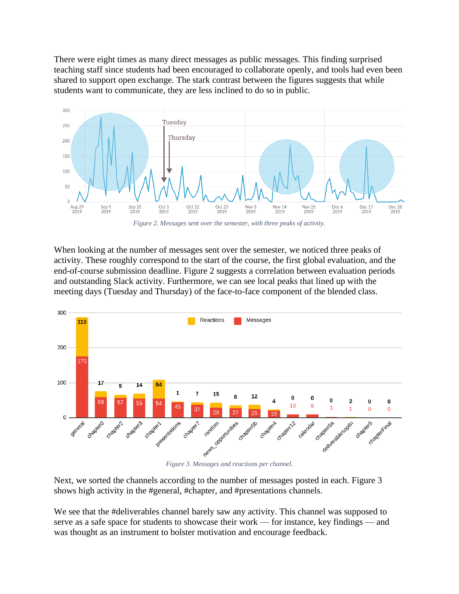There were eight times as many direct messages as public messages. This finding surprised teaching staff since students had been encouraged to collaborate openly, and tools had even been shared to support open exchange. The stark contrast between the figures suggests that while students want to communicate, they are less inclined to do so in public.



*Figure 2. Messages sent over the semester, with three peaks of activity.*

<span id="page-4-0"></span>When looking at the number of messages sent over the semester, we noticed three peaks of activity. These roughly correspond to the start of the course, the first global evaluation, and the end-of-course submission deadline. [Figure 2](#page-4-0) suggests a correlation between evaluation periods and outstanding Slack activity. Furthermore, we can see local peaks that lined up with the meeting days (Tuesday and Thursday) of the face-to-face component of the blended class.



<span id="page-4-1"></span>Next, we sorted the channels according to the number of messages posted in each. [Figure 3](#page-4-1) shows high activity in the #general, #chapter, and #presentations channels.

We see that the #deliverables channel barely saw any activity. This channel was supposed to serve as a safe space for students to showcase their work — for instance, key findings — and was thought as an instrument to bolster motivation and encourage feedback.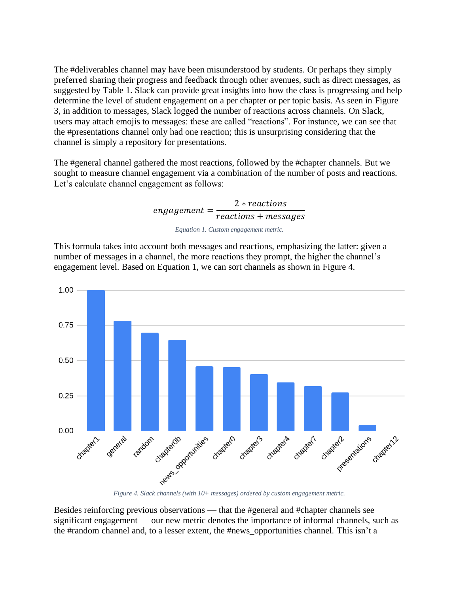The #deliverables channel may have been misunderstood by students. Or perhaps they simply preferred sharing their progress and feedback through other avenues, such as direct messages, as suggested by [Table 1.](#page-3-1) Slack can provide great insights into how the class is progressing and help determine the level of student engagement on a per chapter or per topic basis. As seen in [Figure](#page-4-1)  [3,](#page-4-1) in addition to messages, Slack logged the number of reactions across channels. On Slack, users may attach emojis to messages: these are called "reactions". For instance, we can see that the #presentations channel only had one reaction; this is unsurprising considering that the channel is simply a repository for presentations.

The #general channel gathered the most reactions, followed by the #chapter channels. But we sought to measure channel engagement via a combination of the number of posts and reactions. Let's calculate channel engagement as follows:

> $engagement =$ 2 \* reactions reactions + messages

> > *Equation 1. Custom engagement metric.*

<span id="page-5-0"></span>This formula takes into account both messages and reactions, emphasizing the latter: given a number of messages in a channel, the more reactions they prompt, the higher the channel's engagement level. Based on [Equation 1,](#page-5-0) we can sort channels as shown in [Figure 4.](#page-5-1)



<span id="page-5-1"></span>Besides reinforcing previous observations — that the #general and #chapter channels see significant engagement — our new metric denotes the importance of informal channels, such as the #random channel and, to a lesser extent, the #news\_opportunities channel. This isn't a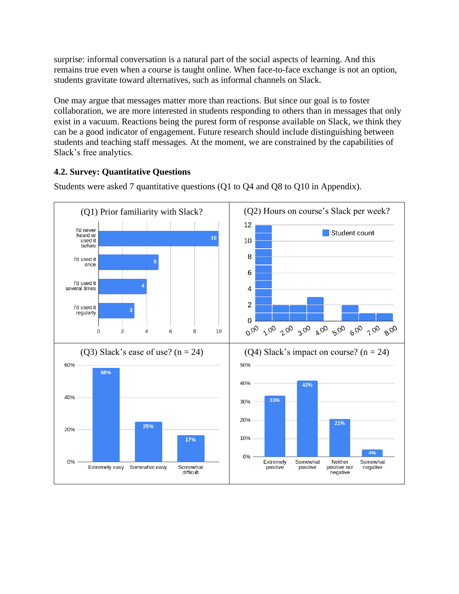surprise: informal conversation is a natural part of the social aspects of learning. And this remains true even when a course is taught online. When face-to-face exchange is not an option, students gravitate toward alternatives, such as informal channels on Slack.

One may argue that messages matter more than reactions. But since our goal is to foster collaboration, we are more interested in students responding to others than in messages that only exist in a vacuum. Reactions being the purest form of response available on Slack, we think they can be a good indicator of engagement. Future research should include distinguishing between students and teaching staff messages. At the moment, we are constrained by the capabilities of Slack's free analytics.

# **4.2. Survey: Quantitative Questions**



Students were asked 7 quantitative questions (Q1 to Q4 and Q8 to Q10 in Appendix).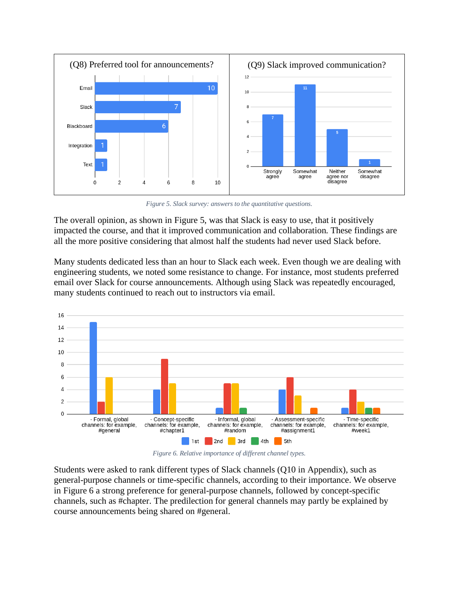

*Figure 5. Slack survey: answers to the quantitative questions.*

<span id="page-7-0"></span>The overall opinion, as shown in [Figure 5,](#page-7-0) was that Slack is easy to use, that it positively impacted the course, and that it improved communication and collaboration. These findings are all the more positive considering that almost half the students had never used Slack before.

Many students dedicated less than an hour to Slack each week. Even though we are dealing with engineering students, we noted some resistance to change. For instance, most students preferred email over Slack for course announcements. Although using Slack was repeatedly encouraged, many students continued to reach out to instructors via email.



*Figure 6. Relative importance of different channel types.*

<span id="page-7-1"></span>Students were asked to rank different types of Slack channels (Q10 in Appendix), such as general-purpose channels or time-specific channels, according to their importance. We observe in [Figure 6](#page-7-1) a strong preference for general-purpose channels, followed by concept-specific channels, such as #chapter. The predilection for general channels may partly be explained by course announcements being shared on #general.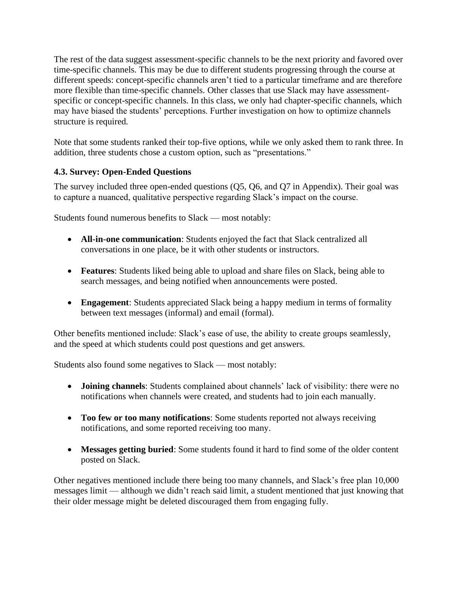The rest of the data suggest assessment-specific channels to be the next priority and favored over time-specific channels. This may be due to different students progressing through the course at different speeds: concept-specific channels aren't tied to a particular timeframe and are therefore more flexible than time-specific channels. Other classes that use Slack may have assessmentspecific or concept-specific channels. In this class, we only had chapter-specific channels, which may have biased the students' perceptions. Further investigation on how to optimize channels structure is required.

Note that some students ranked their top-five options, while we only asked them to rank three. In addition, three students chose a custom option, such as "presentations."

# **4.3. Survey: Open-Ended Questions**

The survey included three open-ended questions (Q5, Q6, and Q7 in Appendix). Their goal was to capture a nuanced, qualitative perspective regarding Slack's impact on the course.

Students found numerous benefits to Slack — most notably:

- **All-in-one communication**: Students enjoyed the fact that Slack centralized all conversations in one place, be it with other students or instructors.
- **Features**: Students liked being able to upload and share files on Slack, being able to search messages, and being notified when announcements were posted.
- **Engagement**: Students appreciated Slack being a happy medium in terms of formality between text messages (informal) and email (formal).

Other benefits mentioned include: Slack's ease of use, the ability to create groups seamlessly, and the speed at which students could post questions and get answers.

Students also found some negatives to Slack — most notably:

- **Joining channels**: Students complained about channels' lack of visibility: there were no notifications when channels were created, and students had to join each manually.
- **Too few or too many notifications**: Some students reported not always receiving notifications, and some reported receiving too many.
- **Messages getting buried**: Some students found it hard to find some of the older content posted on Slack.

Other negatives mentioned include there being too many channels, and Slack's free plan 10,000 messages limit — although we didn't reach said limit, a student mentioned that just knowing that their older message might be deleted discouraged them from engaging fully.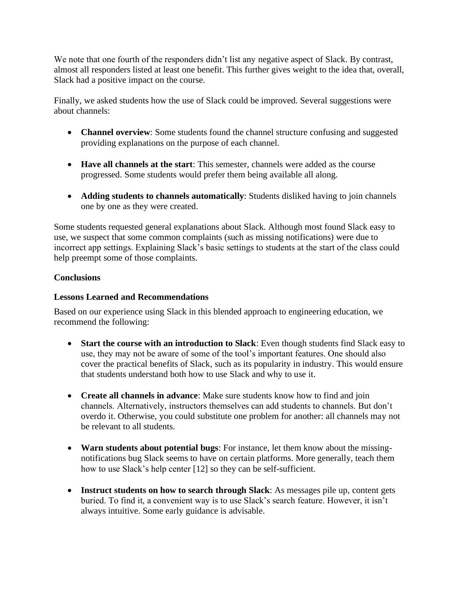We note that one fourth of the responders didn't list any negative aspect of Slack. By contrast, almost all responders listed at least one benefit. This further gives weight to the idea that, overall, Slack had a positive impact on the course.

Finally, we asked students how the use of Slack could be improved. Several suggestions were about channels:

- **Channel overview**: Some students found the channel structure confusing and suggested providing explanations on the purpose of each channel.
- **Have all channels at the start**: This semester, channels were added as the course progressed. Some students would prefer them being available all along.
- **Adding students to channels automatically**: Students disliked having to join channels one by one as they were created.

Some students requested general explanations about Slack. Although most found Slack easy to use, we suspect that some common complaints (such as missing notifications) were due to incorrect app settings. Explaining Slack's basic settings to students at the start of the class could help preempt some of those complaints.

# **Conclusions**

## **Lessons Learned and Recommendations**

Based on our experience using Slack in this blended approach to engineering education, we recommend the following:

- **Start the course with an introduction to Slack**: Even though students find Slack easy to use, they may not be aware of some of the tool's important features. One should also cover the practical benefits of Slack, such as its popularity in industry. This would ensure that students understand both how to use Slack and why to use it.
- **Create all channels in advance**: Make sure students know how to find and join channels. Alternatively, instructors themselves can add students to channels. But don't overdo it. Otherwise, you could substitute one problem for another: all channels may not be relevant to all students.
- **Warn students about potential bugs**: For instance, let them know about the missingnotifications bug Slack seems to have on certain platforms. More generally, teach them how to use Slack's help center [12] so they can be self-sufficient.
- **Instruct students on how to search through Slack**: As messages pile up, content gets buried. To find it, a convenient way is to use Slack's search feature. However, it isn't always intuitive. Some early guidance is advisable.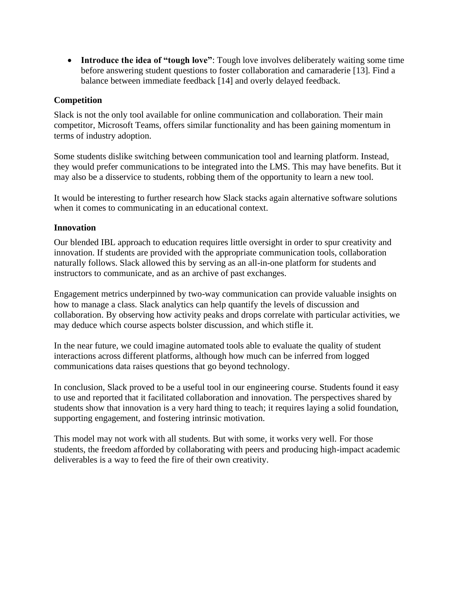• **Introduce the idea of "tough love"**: Tough love involves deliberately waiting some time before answering student questions to foster collaboration and camaraderie [13]. Find a balance between immediate feedback [14] and overly delayed feedback.

## **Competition**

Slack is not the only tool available for online communication and collaboration. Their main competitor, Microsoft Teams, offers similar functionality and has been gaining momentum in terms of industry adoption.

Some students dislike switching between communication tool and learning platform. Instead, they would prefer communications to be integrated into the LMS. This may have benefits. But it may also be a disservice to students, robbing them of the opportunity to learn a new tool.

It would be interesting to further research how Slack stacks again alternative software solutions when it comes to communicating in an educational context.

## **Innovation**

Our blended IBL approach to education requires little oversight in order to spur creativity and innovation. If students are provided with the appropriate communication tools, collaboration naturally follows. Slack allowed this by serving as an all-in-one platform for students and instructors to communicate, and as an archive of past exchanges.

Engagement metrics underpinned by two-way communication can provide valuable insights on how to manage a class. Slack analytics can help quantify the levels of discussion and collaboration. By observing how activity peaks and drops correlate with particular activities, we may deduce which course aspects bolster discussion, and which stifle it.

In the near future, we could imagine automated tools able to evaluate the quality of student interactions across different platforms, although how much can be inferred from logged communications data raises questions that go beyond technology.

In conclusion, Slack proved to be a useful tool in our engineering course. Students found it easy to use and reported that it facilitated collaboration and innovation. The perspectives shared by students show that innovation is a very hard thing to teach; it requires laying a solid foundation, supporting engagement, and fostering intrinsic motivation.

This model may not work with all students. But with some, it works very well. For those students, the freedom afforded by collaborating with peers and producing high-impact academic deliverables is a way to feed the fire of their own creativity.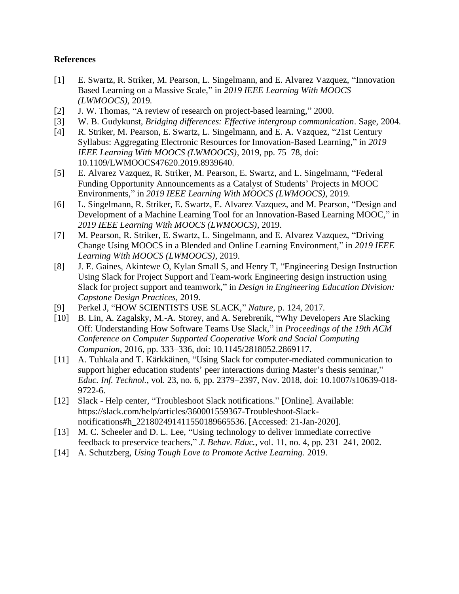### **References**

- [1] E. Swartz, R. Striker, M. Pearson, L. Singelmann, and E. Alvarez Vazquez, "Innovation Based Learning on a Massive Scale," in *2019 IEEE Learning With MOOCS (LWMOOCS)*, 2019.
- [2] J. W. Thomas, "A review of research on project-based learning," 2000.
- [3] W. B. Gudykunst, *Bridging differences: Effective intergroup communication*. Sage, 2004.
- [4] R. Striker, M. Pearson, E. Swartz, L. Singelmann, and E. A. Vazquez, "21st Century Syllabus: Aggregating Electronic Resources for Innovation-Based Learning," in *2019 IEEE Learning With MOOCS (LWMOOCS)*, 2019, pp. 75–78, doi: 10.1109/LWMOOCS47620.2019.8939640.
- [5] E. Alvarez Vazquez, R. Striker, M. Pearson, E. Swartz, and L. Singelmann, "Federal Funding Opportunity Announcements as a Catalyst of Students' Projects in MOOC Environments," in *2019 IEEE Learning With MOOCS (LWMOOCS)*, 2019.
- [6] L. Singelmann, R. Striker, E. Swartz, E. Alvarez Vazquez, and M. Pearson, "Design and Development of a Machine Learning Tool for an Innovation-Based Learning MOOC," in *2019 IEEE Learning With MOOCS (LWMOOCS)*, 2019.
- [7] M. Pearson, R. Striker, E. Swartz, L. Singelmann, and E. Alvarez Vazquez, "Driving Change Using MOOCS in a Blended and Online Learning Environment," in *2019 IEEE Learning With MOOCS (LWMOOCS)*, 2019.
- [8] J. E. Gaines, Akintewe O, Kylan Small S, and Henry T, "Engineering Design Instruction Using Slack for Project Support and Team-work Engineering design instruction using Slack for project support and teamwork," in *Design in Engineering Education Division: Capstone Design Practices*, 2019.
- [9] Perkel J, "HOW SCIENTISTS USE SLACK," *Nature*, p. 124, 2017.
- [10] B. Lin, A. Zagalsky, M.-A. Storey, and A. Serebrenik, "Why Developers Are Slacking Off: Understanding How Software Teams Use Slack," in *Proceedings of the 19th ACM Conference on Computer Supported Cooperative Work and Social Computing Companion*, 2016, pp. 333–336, doi: 10.1145/2818052.2869117.
- [11] A. Tuhkala and T. Kärkkäinen, "Using Slack for computer-mediated communication to support higher education students' peer interactions during Master's thesis seminar," *Educ. Inf. Technol.*, vol. 23, no. 6, pp. 2379–2397, Nov. 2018, doi: 10.1007/s10639-018- 9722-6.
- [12] Slack Help center, "Troubleshoot Slack notifications." [Online]. Available: https://slack.com/help/articles/360001559367-Troubleshoot-Slacknotifications#h\_221802491411550189665536. [Accessed: 21-Jan-2020].
- [13] M. C. Scheeler and D. L. Lee, "Using technology to deliver immediate corrective feedback to preservice teachers," *J. Behav. Educ.*, vol. 11, no. 4, pp. 231–241, 2002.
- [14] A. Schutzberg, *Using Tough Love to Promote Active Learning*. 2019.